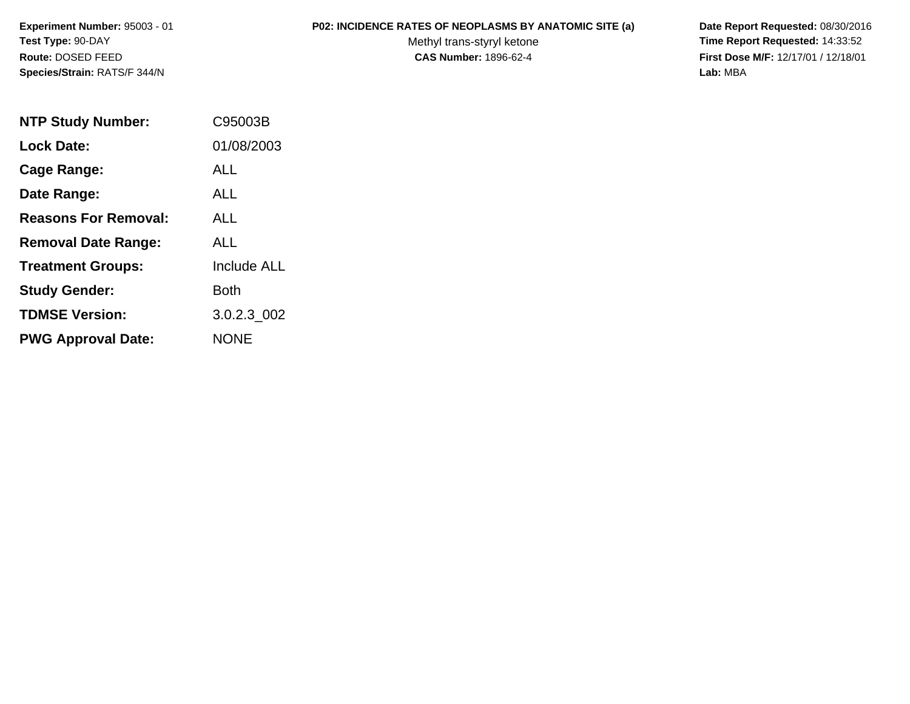# **P02: INCIDENCE RATES OF NEOPLASMS BY ANATOMIC SITE (a) Date Report Requested:** 08/30/2016

Methyl trans-styryl ketone<br>CAS Number: 1896-62-4

 **Time Report Requested:** 14:33:52 **First Dose M/F:** 12/17/01 / 12/18/01<br>Lab: MBA **Lab:** MBA

| <b>NTP Study Number:</b>    | C95003B            |
|-----------------------------|--------------------|
| Lock Date:                  | 01/08/2003         |
| Cage Range:                 | ALL                |
| Date Range:                 | ALL                |
| <b>Reasons For Removal:</b> | ALL.               |
| <b>Removal Date Range:</b>  | ALL                |
| <b>Treatment Groups:</b>    | <b>Include ALL</b> |
| <b>Study Gender:</b>        | <b>Both</b>        |
| <b>TDMSE Version:</b>       | 3.0.2.3 002        |
| <b>PWG Approval Date:</b>   | <b>NONE</b>        |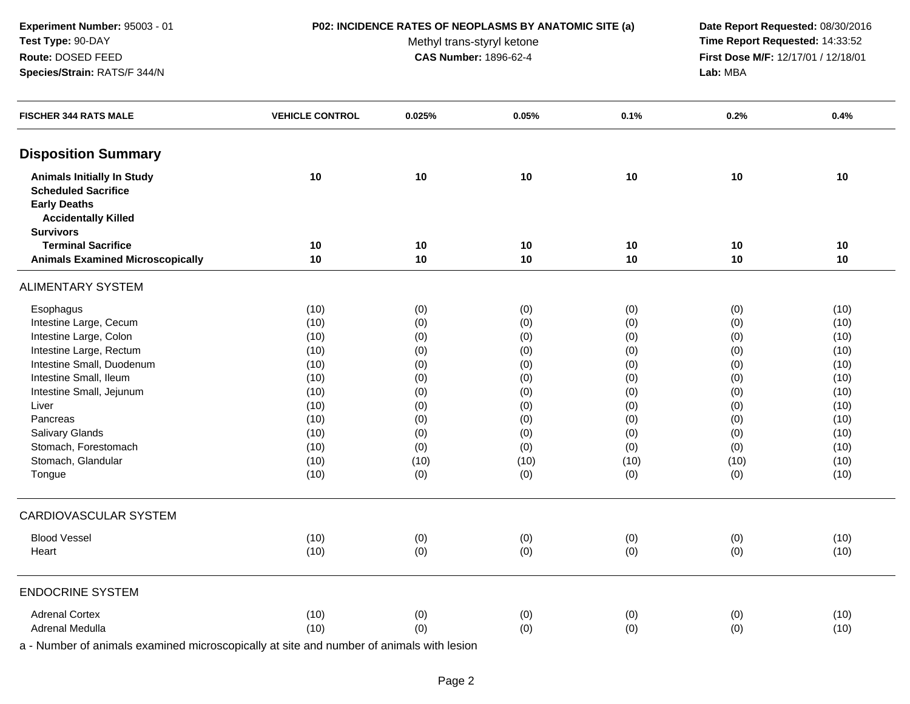### **P02: INCIDENCE RATES OF NEOPLASMS BY ANATOMIC SITE (a) Date Report Requested:** 08/30/2016

Methyl trans-styryl ketone<br>CAS Number: 1896-62-4

 **Time Report Requested:** 14:33:52 **First Dose M/F:** 12/17/01 / 12/18/01<br>Lab: MBA **Lab:** MBA

| <b>Disposition Summary</b><br><b>Animals Initially In Study</b><br>10<br>10<br>10<br>10<br>10<br>10<br><b>Scheduled Sacrifice</b><br><b>Early Deaths</b><br><b>Accidentally Killed</b><br><b>Survivors</b><br><b>Terminal Sacrifice</b><br>10<br>10<br>10<br>10<br>10<br>10<br><b>Animals Examined Microscopically</b><br>10<br>10<br>10<br>10<br>10<br>10<br><b>ALIMENTARY SYSTEM</b><br>Esophagus<br>(10)<br>(10)<br>(0)<br>(0)<br>(0)<br>(0)<br>Intestine Large, Cecum<br>(0)<br>(10)<br>(0)<br>(0)<br>(0)<br>(10)<br>Intestine Large, Colon<br>(10)<br>(0)<br>(0)<br>(0)<br>(0)<br>(10)<br>Intestine Large, Rectum<br>(10)<br>(0)<br>(0)<br>(0)<br>(0)<br>(10)<br>Intestine Small, Duodenum<br>(10)<br>(0)<br>(0)<br>(0)<br>(0)<br>(10)<br>Intestine Small, Ileum<br>(10)<br>(0)<br>(0)<br>(0)<br>(0)<br>(10)<br>Intestine Small, Jejunum<br>(10)<br>(0)<br>(0)<br>(0)<br>(0)<br>(10)<br>Liver<br>(10)<br>(0)<br>(0)<br>(0)<br>(0)<br>(10)<br>Pancreas<br>(10)<br>(0)<br>(0)<br>(0)<br>(0)<br>(10)<br>Salivary Glands<br>(10)<br>(0)<br>(0)<br>(0)<br>(10)<br>(0)<br>Stomach, Forestomach<br>(10)<br>(0)<br>(0)<br>(0)<br>(10)<br>(0)<br>Stomach, Glandular<br>(10)<br>(10)<br>(10)<br>(10)<br>(10)<br>(10)<br>Tongue<br>(10)<br>(0)<br>(0)<br>(0)<br>(0)<br>(10)<br><b>CARDIOVASCULAR SYSTEM</b><br><b>Blood Vessel</b><br>(10)<br>(0)<br>(0)<br>(0)<br>(0)<br>(10)<br>(0)<br>(10)<br>(0)<br>(0)<br>(0)<br>Heart<br>(10)<br><b>ENDOCRINE SYSTEM</b> | <b>FISCHER 344 RATS MALE</b> | <b>VEHICLE CONTROL</b> | 0.025% | 0.05% | 0.1% | 0.2% | 0.4% |
|----------------------------------------------------------------------------------------------------------------------------------------------------------------------------------------------------------------------------------------------------------------------------------------------------------------------------------------------------------------------------------------------------------------------------------------------------------------------------------------------------------------------------------------------------------------------------------------------------------------------------------------------------------------------------------------------------------------------------------------------------------------------------------------------------------------------------------------------------------------------------------------------------------------------------------------------------------------------------------------------------------------------------------------------------------------------------------------------------------------------------------------------------------------------------------------------------------------------------------------------------------------------------------------------------------------------------------------------------------------------------------------------------------------------------------------------------------|------------------------------|------------------------|--------|-------|------|------|------|
|                                                                                                                                                                                                                                                                                                                                                                                                                                                                                                                                                                                                                                                                                                                                                                                                                                                                                                                                                                                                                                                                                                                                                                                                                                                                                                                                                                                                                                                          |                              |                        |        |       |      |      |      |
|                                                                                                                                                                                                                                                                                                                                                                                                                                                                                                                                                                                                                                                                                                                                                                                                                                                                                                                                                                                                                                                                                                                                                                                                                                                                                                                                                                                                                                                          |                              |                        |        |       |      |      |      |
|                                                                                                                                                                                                                                                                                                                                                                                                                                                                                                                                                                                                                                                                                                                                                                                                                                                                                                                                                                                                                                                                                                                                                                                                                                                                                                                                                                                                                                                          |                              |                        |        |       |      |      |      |
|                                                                                                                                                                                                                                                                                                                                                                                                                                                                                                                                                                                                                                                                                                                                                                                                                                                                                                                                                                                                                                                                                                                                                                                                                                                                                                                                                                                                                                                          |                              |                        |        |       |      |      |      |
|                                                                                                                                                                                                                                                                                                                                                                                                                                                                                                                                                                                                                                                                                                                                                                                                                                                                                                                                                                                                                                                                                                                                                                                                                                                                                                                                                                                                                                                          |                              |                        |        |       |      |      |      |
|                                                                                                                                                                                                                                                                                                                                                                                                                                                                                                                                                                                                                                                                                                                                                                                                                                                                                                                                                                                                                                                                                                                                                                                                                                                                                                                                                                                                                                                          |                              |                        |        |       |      |      |      |
|                                                                                                                                                                                                                                                                                                                                                                                                                                                                                                                                                                                                                                                                                                                                                                                                                                                                                                                                                                                                                                                                                                                                                                                                                                                                                                                                                                                                                                                          |                              |                        |        |       |      |      |      |
|                                                                                                                                                                                                                                                                                                                                                                                                                                                                                                                                                                                                                                                                                                                                                                                                                                                                                                                                                                                                                                                                                                                                                                                                                                                                                                                                                                                                                                                          |                              |                        |        |       |      |      |      |
|                                                                                                                                                                                                                                                                                                                                                                                                                                                                                                                                                                                                                                                                                                                                                                                                                                                                                                                                                                                                                                                                                                                                                                                                                                                                                                                                                                                                                                                          |                              |                        |        |       |      |      |      |
|                                                                                                                                                                                                                                                                                                                                                                                                                                                                                                                                                                                                                                                                                                                                                                                                                                                                                                                                                                                                                                                                                                                                                                                                                                                                                                                                                                                                                                                          |                              |                        |        |       |      |      |      |
|                                                                                                                                                                                                                                                                                                                                                                                                                                                                                                                                                                                                                                                                                                                                                                                                                                                                                                                                                                                                                                                                                                                                                                                                                                                                                                                                                                                                                                                          |                              |                        |        |       |      |      |      |
|                                                                                                                                                                                                                                                                                                                                                                                                                                                                                                                                                                                                                                                                                                                                                                                                                                                                                                                                                                                                                                                                                                                                                                                                                                                                                                                                                                                                                                                          |                              |                        |        |       |      |      |      |
|                                                                                                                                                                                                                                                                                                                                                                                                                                                                                                                                                                                                                                                                                                                                                                                                                                                                                                                                                                                                                                                                                                                                                                                                                                                                                                                                                                                                                                                          |                              |                        |        |       |      |      |      |
|                                                                                                                                                                                                                                                                                                                                                                                                                                                                                                                                                                                                                                                                                                                                                                                                                                                                                                                                                                                                                                                                                                                                                                                                                                                                                                                                                                                                                                                          |                              |                        |        |       |      |      |      |
|                                                                                                                                                                                                                                                                                                                                                                                                                                                                                                                                                                                                                                                                                                                                                                                                                                                                                                                                                                                                                                                                                                                                                                                                                                                                                                                                                                                                                                                          |                              |                        |        |       |      |      |      |
|                                                                                                                                                                                                                                                                                                                                                                                                                                                                                                                                                                                                                                                                                                                                                                                                                                                                                                                                                                                                                                                                                                                                                                                                                                                                                                                                                                                                                                                          |                              |                        |        |       |      |      |      |
|                                                                                                                                                                                                                                                                                                                                                                                                                                                                                                                                                                                                                                                                                                                                                                                                                                                                                                                                                                                                                                                                                                                                                                                                                                                                                                                                                                                                                                                          |                              |                        |        |       |      |      |      |
|                                                                                                                                                                                                                                                                                                                                                                                                                                                                                                                                                                                                                                                                                                                                                                                                                                                                                                                                                                                                                                                                                                                                                                                                                                                                                                                                                                                                                                                          |                              |                        |        |       |      |      |      |
|                                                                                                                                                                                                                                                                                                                                                                                                                                                                                                                                                                                                                                                                                                                                                                                                                                                                                                                                                                                                                                                                                                                                                                                                                                                                                                                                                                                                                                                          |                              |                        |        |       |      |      |      |
|                                                                                                                                                                                                                                                                                                                                                                                                                                                                                                                                                                                                                                                                                                                                                                                                                                                                                                                                                                                                                                                                                                                                                                                                                                                                                                                                                                                                                                                          |                              |                        |        |       |      |      |      |
|                                                                                                                                                                                                                                                                                                                                                                                                                                                                                                                                                                                                                                                                                                                                                                                                                                                                                                                                                                                                                                                                                                                                                                                                                                                                                                                                                                                                                                                          |                              |                        |        |       |      |      |      |
|                                                                                                                                                                                                                                                                                                                                                                                                                                                                                                                                                                                                                                                                                                                                                                                                                                                                                                                                                                                                                                                                                                                                                                                                                                                                                                                                                                                                                                                          |                              |                        |        |       |      |      |      |
|                                                                                                                                                                                                                                                                                                                                                                                                                                                                                                                                                                                                                                                                                                                                                                                                                                                                                                                                                                                                                                                                                                                                                                                                                                                                                                                                                                                                                                                          |                              |                        |        |       |      |      |      |
|                                                                                                                                                                                                                                                                                                                                                                                                                                                                                                                                                                                                                                                                                                                                                                                                                                                                                                                                                                                                                                                                                                                                                                                                                                                                                                                                                                                                                                                          |                              |                        |        |       |      |      |      |
|                                                                                                                                                                                                                                                                                                                                                                                                                                                                                                                                                                                                                                                                                                                                                                                                                                                                                                                                                                                                                                                                                                                                                                                                                                                                                                                                                                                                                                                          |                              |                        |        |       |      |      |      |
|                                                                                                                                                                                                                                                                                                                                                                                                                                                                                                                                                                                                                                                                                                                                                                                                                                                                                                                                                                                                                                                                                                                                                                                                                                                                                                                                                                                                                                                          |                              |                        |        |       |      |      |      |
| <b>Adrenal Cortex</b><br>(10)<br>(10)<br>(0)<br>(0)<br>(0)<br>(0)                                                                                                                                                                                                                                                                                                                                                                                                                                                                                                                                                                                                                                                                                                                                                                                                                                                                                                                                                                                                                                                                                                                                                                                                                                                                                                                                                                                        |                              |                        |        |       |      |      |      |
| (10)<br>(0)<br>Adrenal Medulla<br>(0)<br>(0)<br>(0)<br>(10)                                                                                                                                                                                                                                                                                                                                                                                                                                                                                                                                                                                                                                                                                                                                                                                                                                                                                                                                                                                                                                                                                                                                                                                                                                                                                                                                                                                              |                              |                        |        |       |      |      |      |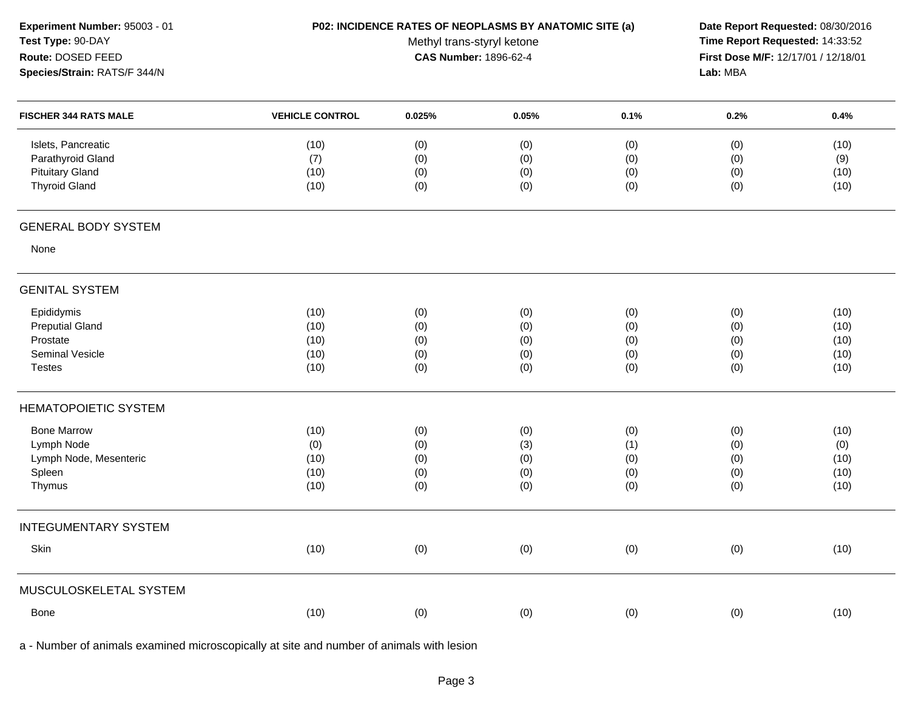| Experiment Number: 95003 - 01 | P02: INCIDENCE RATES OF NEOPLASMS BY ANATOMIC SITE (a) | Date Report Requested: 08/30/2016   |       |      |          |      |
|-------------------------------|--------------------------------------------------------|-------------------------------------|-------|------|----------|------|
| Test Type: 90-DAY             |                                                        | Time Report Requested: 14:33:52     |       |      |          |      |
| Route: DOSED FEED             |                                                        | First Dose M/F: 12/17/01 / 12/18/01 |       |      |          |      |
| Species/Strain: RATS/F 344/N  |                                                        |                                     |       |      | Lab: MBA |      |
| <b>FISCHER 344 RATS MALE</b>  | <b>VEHICLE CONTROL</b>                                 | 0.025%                              | 0.05% | 0.1% | 0.2%     | 0.4% |
| Islets, Pancreatic            | (10)                                                   | (0)                                 | (0)   | (0)  | (0)      | (10) |
| Parathyroid Gland             | (7)                                                    | (0)                                 | (0)   | (0)  | (0)      | (9)  |
| <b>Pituitary Gland</b>        | (10)                                                   | (0)                                 | (0)   | (0)  | (0)      | (10) |
| <b>Thyroid Gland</b>          | (10)                                                   | (0)                                 | (0)   | (0)  | (0)      | (10) |
| <b>GENERAL BODY SYSTEM</b>    |                                                        |                                     |       |      |          |      |
| None                          |                                                        |                                     |       |      |          |      |
| <b>GENITAL SYSTEM</b>         |                                                        |                                     |       |      |          |      |
| Epididymis                    | (10)                                                   | (0)                                 | (0)   | (0)  | (0)      | (10) |
| <b>Preputial Gland</b>        | (10)                                                   | (0)                                 | (0)   | (0)  | (0)      | (10) |
| Prostate                      | (10)                                                   | (0)                                 | (0)   | (0)  | (0)      | (10) |
| <b>Seminal Vesicle</b>        | (10)                                                   | (0)                                 | (0)   | (0)  | (0)      | (10) |
| <b>Testes</b>                 | (10)                                                   | (0)                                 | (0)   | (0)  | (0)      | (10) |
| <b>HEMATOPOIETIC SYSTEM</b>   |                                                        |                                     |       |      |          |      |
| <b>Bone Marrow</b>            | (10)                                                   | (0)                                 | (0)   | (0)  | (0)      | (10) |
| Lymph Node                    | (0)                                                    | (0)                                 | (3)   | (1)  | (0)      | (0)  |
| Lymph Node, Mesenteric        | (10)                                                   | (0)                                 | (0)   | (0)  | (0)      | (10) |
| Spleen                        | (10)                                                   | (0)                                 | (0)   | (0)  | (0)      | (10) |
| Thymus                        | (10)                                                   | (0)                                 | (0)   | (0)  | (0)      | (10) |
| <b>INTEGUMENTARY SYSTEM</b>   |                                                        |                                     |       |      |          |      |
| Skin                          | (10)                                                   | (0)                                 | (0)   | (0)  | (0)      | (10) |
| MUSCULOSKELETAL SYSTEM        |                                                        |                                     |       |      |          |      |
| Bone                          | (10)                                                   | (0)                                 | (0)   | (0)  | (0)      | (10) |
|                               |                                                        |                                     |       |      |          |      |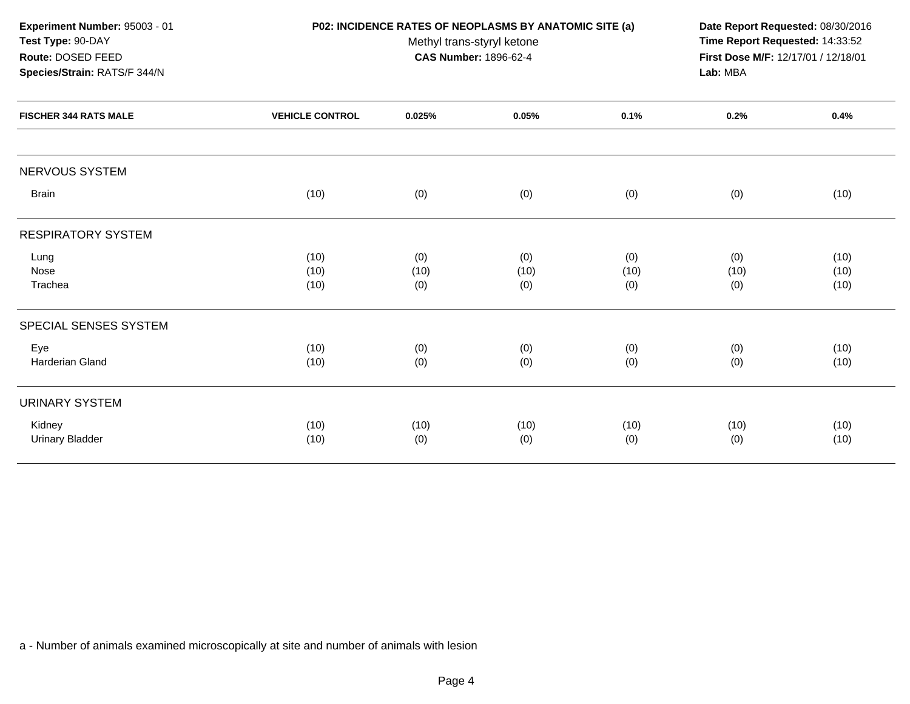| Experiment Number: 95003 - 01<br>Test Type: 90-DAY<br>Route: DOSED FEED<br>Species/Strain: RATS/F 344/N | P02: INCIDENCE RATES OF NEOPLASMS BY ANATOMIC SITE (a) | Date Report Requested: 08/30/2016<br>Time Report Requested: 14:33:52<br>First Dose M/F: 12/17/01 / 12/18/01<br>Lab: MBA |             |             |             |              |
|---------------------------------------------------------------------------------------------------------|--------------------------------------------------------|-------------------------------------------------------------------------------------------------------------------------|-------------|-------------|-------------|--------------|
| <b>FISCHER 344 RATS MALE</b>                                                                            | <b>VEHICLE CONTROL</b>                                 | 0.025%                                                                                                                  | 0.05%       | 0.1%        | 0.2%        | 0.4%         |
| <b>NERVOUS SYSTEM</b>                                                                                   |                                                        |                                                                                                                         |             |             |             |              |
| <b>Brain</b>                                                                                            | (10)                                                   | (0)                                                                                                                     | (0)         | (0)         | (0)         | (10)         |
| <b>RESPIRATORY SYSTEM</b>                                                                               |                                                        |                                                                                                                         |             |             |             |              |
| Lung                                                                                                    | (10)                                                   | (0)                                                                                                                     | (0)         | (0)         | (0)         | (10)         |
| Nose<br>Trachea                                                                                         | (10)<br>(10)                                           | (10)<br>(0)                                                                                                             | (10)<br>(0) | (10)<br>(0) | (10)<br>(0) | (10)<br>(10) |
| SPECIAL SENSES SYSTEM                                                                                   |                                                        |                                                                                                                         |             |             |             |              |
| Eye<br><b>Harderian Gland</b>                                                                           | (10)<br>(10)                                           | (0)<br>(0)                                                                                                              | (0)<br>(0)  | (0)<br>(0)  | (0)<br>(0)  | (10)<br>(10) |
|                                                                                                         |                                                        |                                                                                                                         |             |             |             |              |
| <b>URINARY SYSTEM</b>                                                                                   |                                                        |                                                                                                                         |             |             |             |              |
| Kidney<br><b>Urinary Bladder</b>                                                                        | (10)<br>(10)                                           | (10)<br>(0)                                                                                                             | (10)<br>(0) | (10)<br>(0) | (10)<br>(0) | (10)<br>(10) |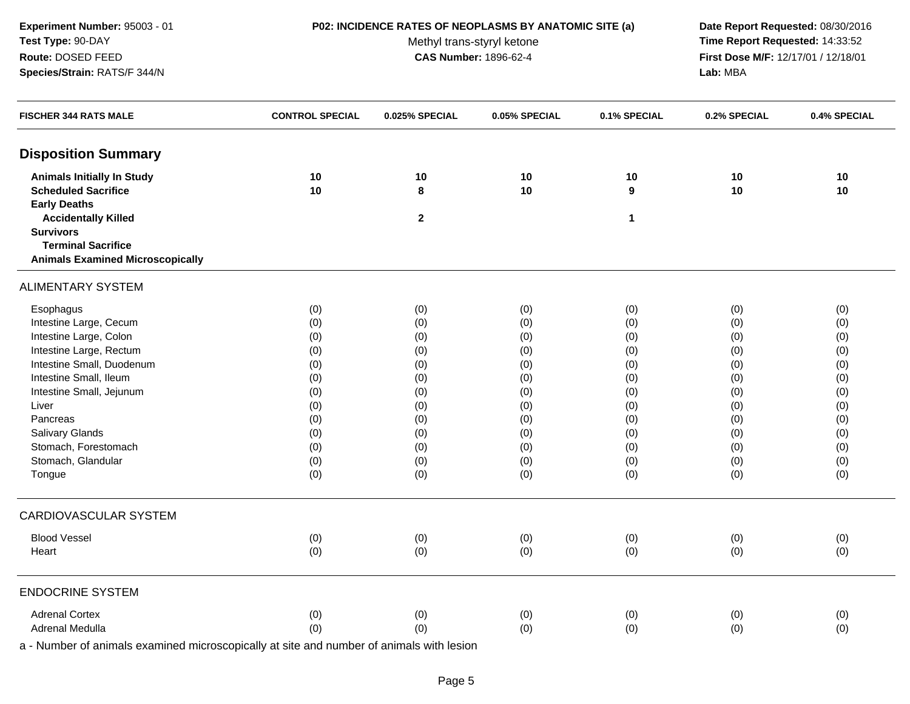### **P02: INCIDENCE RATES OF NEOPLASMS BY ANATOMIC SITE (a) Date Report Requested:** 08/30/2016

Methyl trans-styryl ketone<br>CAS Number: 1896-62-4

 **Time Report Requested:** 14:33:52 **First Dose M/F:** 12/17/01 / 12/18/01<br>Lab: MBA **Lab:** MBA

| <b>FISCHER 344 RATS MALE</b>            | <b>CONTROL SPECIAL</b> | 0.025% SPECIAL | 0.05% SPECIAL | 0.1% SPECIAL | 0.2% SPECIAL | 0.4% SPECIAL |
|-----------------------------------------|------------------------|----------------|---------------|--------------|--------------|--------------|
| <b>Disposition Summary</b>              |                        |                |               |              |              |              |
| <b>Animals Initially In Study</b>       | 10                     | 10             | 10            | 10           | 10           | 10           |
| <b>Scheduled Sacrifice</b>              | 10                     | 8              | 10            | 9            | 10           | 10           |
| <b>Early Deaths</b>                     |                        |                |               |              |              |              |
| <b>Accidentally Killed</b>              |                        | $\mathbf{2}$   |               | $\mathbf{1}$ |              |              |
| <b>Survivors</b>                        |                        |                |               |              |              |              |
| <b>Terminal Sacrifice</b>               |                        |                |               |              |              |              |
| <b>Animals Examined Microscopically</b> |                        |                |               |              |              |              |
| <b>ALIMENTARY SYSTEM</b>                |                        |                |               |              |              |              |
| Esophagus                               | (0)                    | (0)            | (0)           | (0)          | (0)          | (0)          |
| Intestine Large, Cecum                  | (0)                    | (0)            | (0)           | (0)          | (0)          | (0)          |
| Intestine Large, Colon                  | (0)                    | (0)            | (0)           | (0)          | (0)          | (0)          |
| Intestine Large, Rectum                 | (0)                    | (0)            | (0)           | (0)          | (0)          | (0)          |
| Intestine Small, Duodenum               | (0)                    | (0)            | (0)           | (0)          | (0)          | (0)          |
| Intestine Small, Ileum                  | (0)                    | (0)            | (0)           | (0)          | (0)          | (0)          |
| Intestine Small, Jejunum                | (0)                    | (0)            | (0)           | (0)          | (0)          | (0)          |
| Liver                                   | (0)                    | (0)            | (0)           | (0)          | (0)          | (0)          |
| Pancreas                                | (0)                    | (0)            | (0)           | (0)          | (0)          | (0)          |
| Salivary Glands                         | (0)                    | (0)            | (0)           | (0)          | (0)          | (0)          |
| Stomach, Forestomach                    | (0)                    | (0)            | (0)           | (0)          | (0)          | (0)          |
| Stomach, Glandular                      | (0)                    | (0)            | (0)           | (0)          | (0)          | (0)          |
| Tongue                                  | (0)                    | (0)            | (0)           | (0)          | (0)          | (0)          |
| <b>CARDIOVASCULAR SYSTEM</b>            |                        |                |               |              |              |              |
| <b>Blood Vessel</b>                     | (0)                    | (0)            | (0)           | (0)          | (0)          | (0)          |
| Heart                                   | (0)                    | (0)            | (0)           | (0)          | (0)          | (0)          |
| <b>ENDOCRINE SYSTEM</b>                 |                        |                |               |              |              |              |
|                                         |                        |                |               |              |              |              |
| <b>Adrenal Cortex</b>                   | (0)                    | (0)            | (0)           | (0)          | (0)          | (0)          |
| Adrenal Medulla                         | (0)                    | (0)            | (0)           | (0)          | (0)          | (0)          |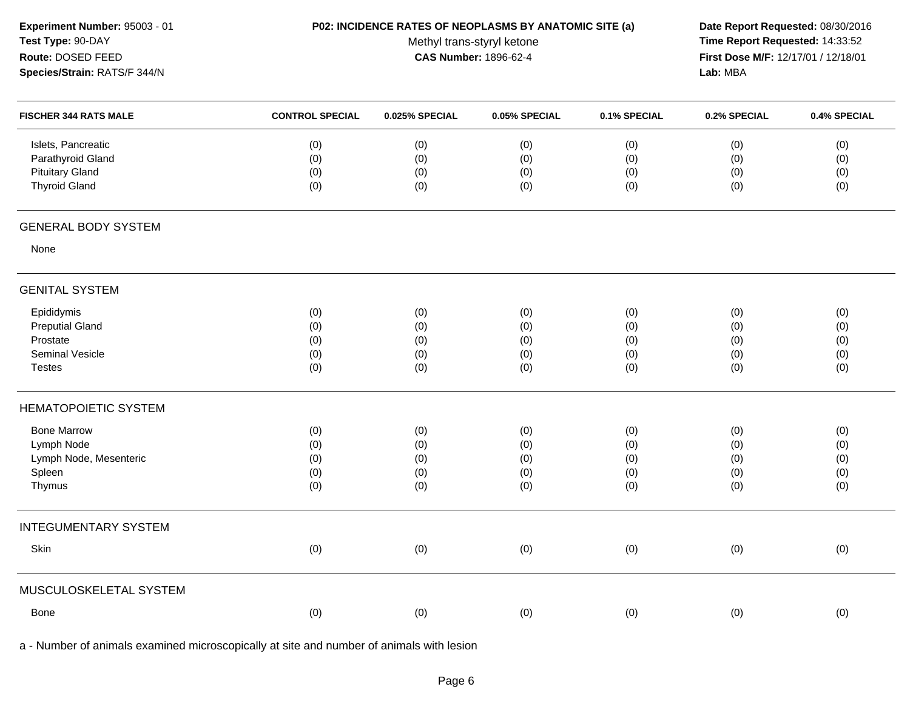| Experiment Number: 95003 - 01 |
|-------------------------------|
| Test Type: 90-DAY             |
| Route: DOSED FEED             |
| Species/Strain: RATS/F 344/N  |

## **P02: INCIDENCE RATES OF NEOPLASMS BY ANATOMIC SITE (a) Date Report Requested:** 08/30/2016

Methyl trans-styryl ketone<br>CAS Number: 1896-62-4

 **Time Report Requested:** 14:33:52 **First Dose M/F:** 12/17/01 / 12/18/01<br>Lab: MBA **Lab:** MBA

| <b>FISCHER 344 RATS MALE</b> | <b>CONTROL SPECIAL</b> | 0.025% SPECIAL | 0.05% SPECIAL | 0.1% SPECIAL | 0.2% SPECIAL | 0.4% SPECIAL |
|------------------------------|------------------------|----------------|---------------|--------------|--------------|--------------|
| Islets, Pancreatic           | (0)                    | (0)            | (0)           | (0)          | (0)          | (0)          |
| Parathyroid Gland            | (0)                    | (0)            | (0)           | (0)          | (0)          | (0)          |
| <b>Pituitary Gland</b>       | (0)                    | (0)            | (0)           | (0)          | (0)          | (0)          |
| <b>Thyroid Gland</b>         | (0)                    | (0)            | (0)           | (0)          | (0)          | (0)          |
| <b>GENERAL BODY SYSTEM</b>   |                        |                |               |              |              |              |
| None                         |                        |                |               |              |              |              |
| <b>GENITAL SYSTEM</b>        |                        |                |               |              |              |              |
| Epididymis                   | (0)                    | (0)            | (0)           | (0)          | (0)          | (0)          |
| <b>Preputial Gland</b>       | (0)                    | (0)            | (0)           | (0)          | (0)          | (0)          |
| Prostate                     | (0)                    | (0)            | (0)           | (0)          | (0)          | (0)          |
| Seminal Vesicle              | (0)                    | (0)            | (0)           | (0)          | (0)          | (0)          |
| <b>Testes</b>                | (0)                    | (0)            | (0)           | (0)          | (0)          | (0)          |
| <b>HEMATOPOIETIC SYSTEM</b>  |                        |                |               |              |              |              |
| <b>Bone Marrow</b>           | (0)                    | (0)            | (0)           | (0)          | (0)          | (0)          |
| Lymph Node                   | (0)                    | (0)            | (0)           | (0)          | (0)          | (0)          |
| Lymph Node, Mesenteric       | (0)                    | (0)            | (0)           | (0)          | (0)          | (0)          |
| Spleen                       | (0)                    | (0)            | (0)           | (0)          | (0)          | (0)          |
| Thymus                       | (0)                    | (0)            | (0)           | (0)          | (0)          | (0)          |
| <b>INTEGUMENTARY SYSTEM</b>  |                        |                |               |              |              |              |
| Skin                         | (0)                    | (0)            | (0)           | (0)          | (0)          | $(0)$        |
| MUSCULOSKELETAL SYSTEM       |                        |                |               |              |              |              |
| Bone                         | (0)                    | (0)            | (0)           | (0)          | (0)          | (0)          |
|                              |                        |                |               |              |              |              |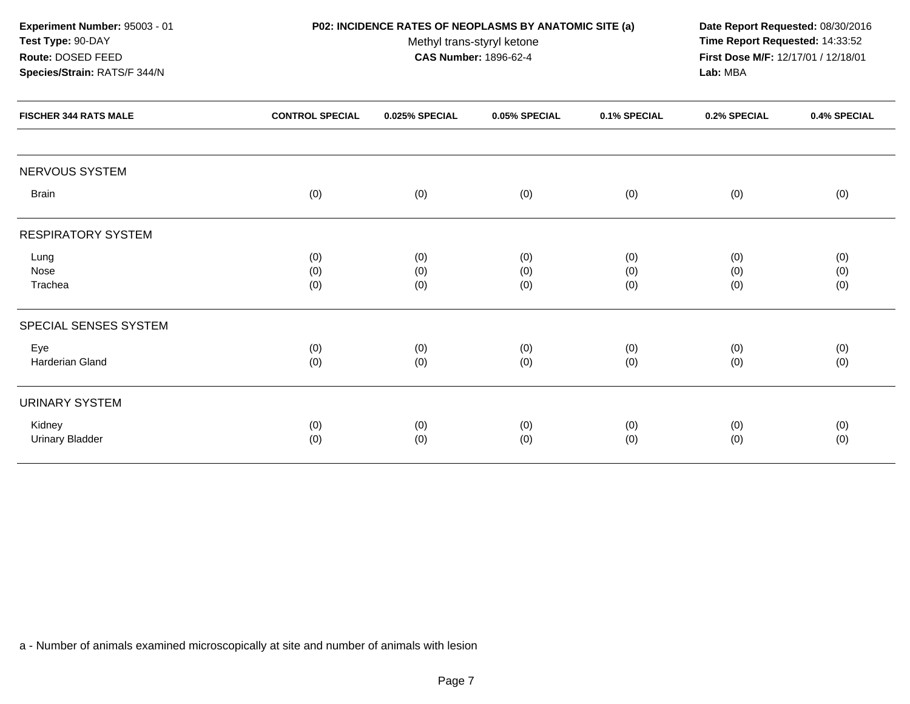| Experiment Number: 95003 - 01 |                        | P02: INCIDENCE RATES OF NEOPLASMS BY ANATOMIC SITE (a) |                              |              |                                     |              |  |
|-------------------------------|------------------------|--------------------------------------------------------|------------------------------|--------------|-------------------------------------|--------------|--|
| Test Type: 90-DAY             |                        | Methyl trans-styryl ketone                             |                              |              |                                     |              |  |
| Route: DOSED FEED             |                        |                                                        | <b>CAS Number: 1896-62-4</b> |              | First Dose M/F: 12/17/01 / 12/18/01 |              |  |
| Species/Strain: RATS/F 344/N  |                        |                                                        |                              |              | Lab: MBA                            |              |  |
| <b>FISCHER 344 RATS MALE</b>  | <b>CONTROL SPECIAL</b> | 0.025% SPECIAL                                         | 0.05% SPECIAL                | 0.1% SPECIAL | 0.2% SPECIAL                        | 0.4% SPECIAL |  |
| NERVOUS SYSTEM                |                        |                                                        |                              |              |                                     |              |  |
| <b>Brain</b>                  | (0)                    | (0)                                                    | (0)                          | (0)          | (0)                                 | (0)          |  |
| <b>RESPIRATORY SYSTEM</b>     |                        |                                                        |                              |              |                                     |              |  |
| Lung                          | (0)                    | (0)                                                    | (0)                          | (0)          | (0)                                 | (0)          |  |
| Nose                          | (0)                    | (0)                                                    | (0)                          | (0)          | (0)                                 | (0)          |  |
| Trachea                       | (0)                    | (0)                                                    | (0)                          | (0)          | (0)                                 | (0)          |  |
| SPECIAL SENSES SYSTEM         |                        |                                                        |                              |              |                                     |              |  |
| Eye                           | (0)                    | (0)                                                    | (0)                          | (0)          | (0)                                 | (0)          |  |
| Harderian Gland               | (0)                    | (0)                                                    | (0)                          | (0)          | (0)                                 | (0)          |  |
| <b>URINARY SYSTEM</b>         |                        |                                                        |                              |              |                                     |              |  |
| Kidney                        | (0)                    | (0)                                                    | (0)                          | (0)          | (0)                                 | (0)          |  |
| <b>Urinary Bladder</b>        | (0)                    | (0)                                                    | (0)                          | (0)          | (0)                                 | (0)          |  |
|                               |                        |                                                        |                              |              |                                     |              |  |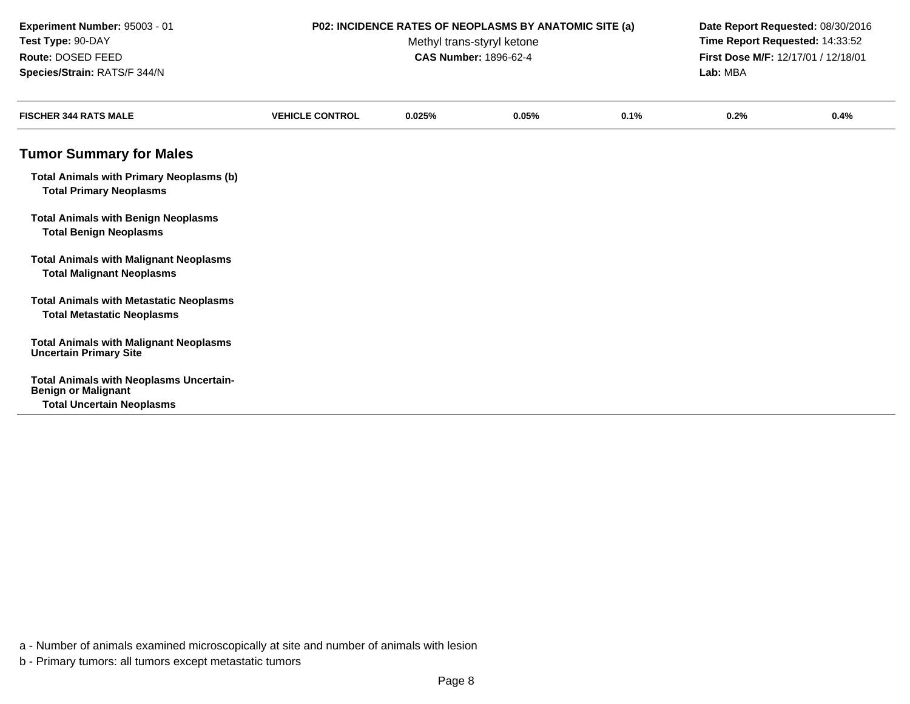| Experiment Number: 95003 - 01<br>Test Type: 90-DAY<br>Route: DOSED FEED<br>Species/Strain: RATS/F 344/N          |                        | P02: INCIDENCE RATES OF NEOPLASMS BY ANATOMIC SITE (a)<br>Methyl trans-styryl ketone<br><b>CAS Number: 1896-62-4</b> | Date Report Requested: 08/30/2016<br>Time Report Requested: 14:33:52<br>First Dose M/F: 12/17/01 / 12/18/01<br>Lab: MBA |      |      |      |
|------------------------------------------------------------------------------------------------------------------|------------------------|----------------------------------------------------------------------------------------------------------------------|-------------------------------------------------------------------------------------------------------------------------|------|------|------|
| <b>FISCHER 344 RATS MALE</b>                                                                                     | <b>VEHICLE CONTROL</b> | 0.025%                                                                                                               | 0.05%                                                                                                                   | 0.1% | 0.2% | 0.4% |
| <b>Tumor Summary for Males</b>                                                                                   |                        |                                                                                                                      |                                                                                                                         |      |      |      |
| <b>Total Animals with Primary Neoplasms (b)</b><br><b>Total Primary Neoplasms</b>                                |                        |                                                                                                                      |                                                                                                                         |      |      |      |
| <b>Total Animals with Benign Neoplasms</b><br><b>Total Benign Neoplasms</b>                                      |                        |                                                                                                                      |                                                                                                                         |      |      |      |
| <b>Total Animals with Malignant Neoplasms</b><br><b>Total Malignant Neoplasms</b>                                |                        |                                                                                                                      |                                                                                                                         |      |      |      |
| <b>Total Animals with Metastatic Neoplasms</b><br><b>Total Metastatic Neoplasms</b>                              |                        |                                                                                                                      |                                                                                                                         |      |      |      |
| <b>Total Animals with Malignant Neoplasms</b><br><b>Uncertain Primary Site</b>                                   |                        |                                                                                                                      |                                                                                                                         |      |      |      |
| <b>Total Animals with Neoplasms Uncertain-</b><br><b>Benign or Malignant</b><br><b>Total Uncertain Neoplasms</b> |                        |                                                                                                                      |                                                                                                                         |      |      |      |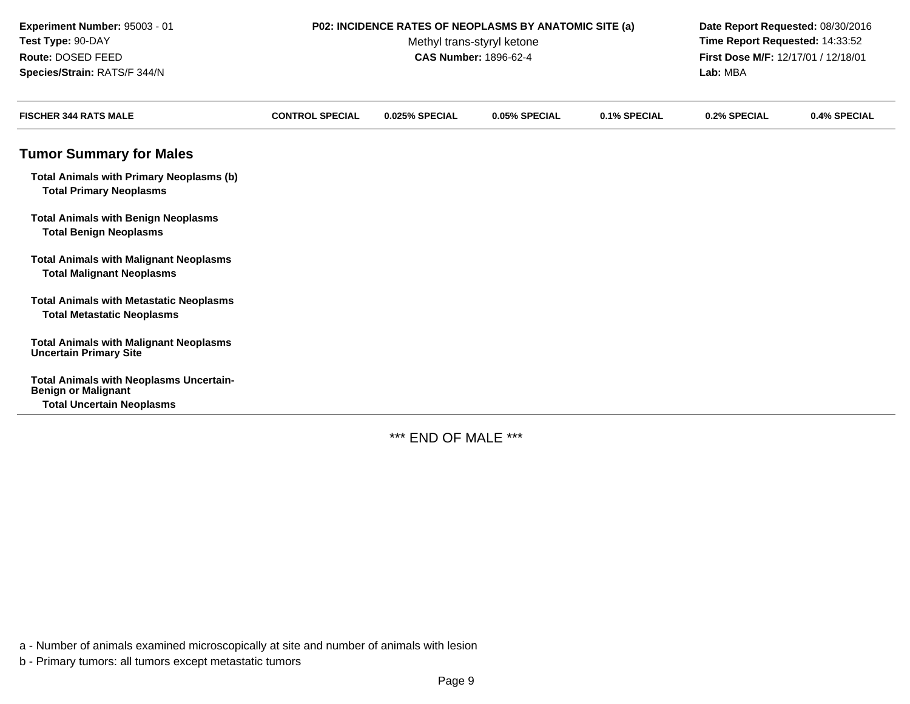| Experiment Number: 95003 - 01<br>Test Type: 90-DAY<br>Route: DOSED FEED<br>Species/Strain: RATS/F 344/N          | P02: INCIDENCE RATES OF NEOPLASMS BY ANATOMIC SITE (a) | Date Report Requested: 08/30/2016<br>Time Report Requested: 14:33:52<br>First Dose M/F: 12/17/01 / 12/18/01<br>Lab: MBA |               |              |              |              |
|------------------------------------------------------------------------------------------------------------------|--------------------------------------------------------|-------------------------------------------------------------------------------------------------------------------------|---------------|--------------|--------------|--------------|
| <b>FISCHER 344 RATS MALE</b>                                                                                     | <b>CONTROL SPECIAL</b>                                 | 0.025% SPECIAL                                                                                                          | 0.05% SPECIAL | 0.1% SPECIAL | 0.2% SPECIAL | 0.4% SPECIAL |
| <b>Tumor Summary for Males</b>                                                                                   |                                                        |                                                                                                                         |               |              |              |              |
| <b>Total Animals with Primary Neoplasms (b)</b><br><b>Total Primary Neoplasms</b>                                |                                                        |                                                                                                                         |               |              |              |              |
| <b>Total Animals with Benign Neoplasms</b><br><b>Total Benign Neoplasms</b>                                      |                                                        |                                                                                                                         |               |              |              |              |
| <b>Total Animals with Malignant Neoplasms</b><br><b>Total Malignant Neoplasms</b>                                |                                                        |                                                                                                                         |               |              |              |              |
| <b>Total Animals with Metastatic Neoplasms</b><br><b>Total Metastatic Neoplasms</b>                              |                                                        |                                                                                                                         |               |              |              |              |
| <b>Total Animals with Malignant Neoplasms</b><br><b>Uncertain Primary Site</b>                                   |                                                        |                                                                                                                         |               |              |              |              |
| <b>Total Animals with Neoplasms Uncertain-</b><br><b>Benign or Malignant</b><br><b>Total Uncertain Neoplasms</b> |                                                        |                                                                                                                         |               |              |              |              |

\*\*\* END OF MALE \*\*\*

a - Number of animals examined microscopically at site and number of animals with lesion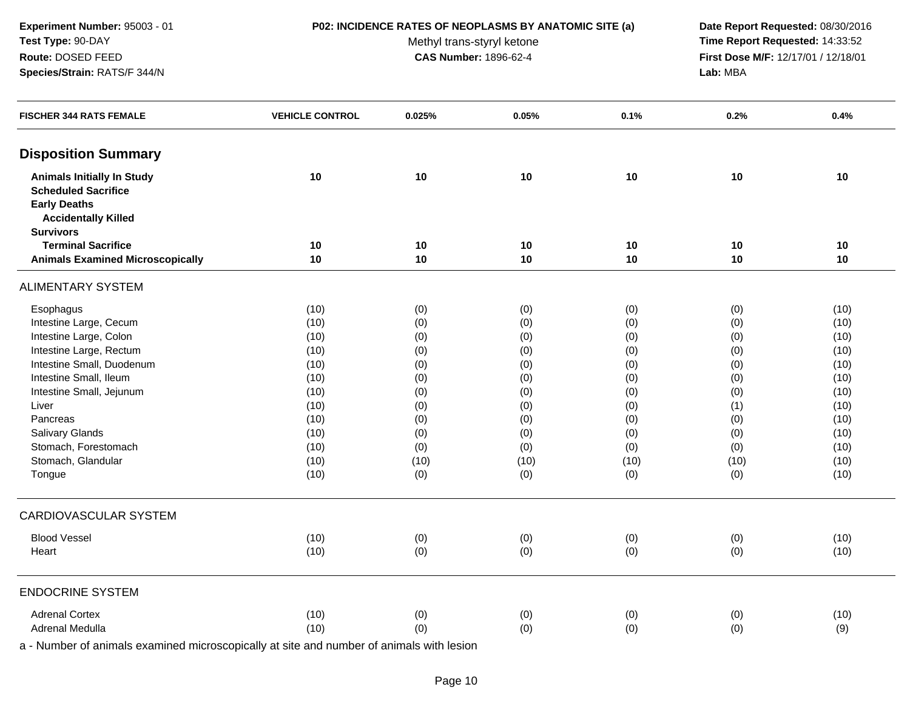### **P02: INCIDENCE RATES OF NEOPLASMS BY ANATOMIC SITE (a) Date Report Requested:** 08/30/2016

Methyl trans-styryl ketone<br>CAS Number: 1896-62-4

 **Time Report Requested:** 14:33:52 **First Dose M/F:** 12/17/01 / 12/18/01<br>Lab: MBA **Lab:** MBA

| <b>FISCHER 344 RATS FEMALE</b>          | <b>VEHICLE CONTROL</b> | 0.025% | 0.05% | 0.1% | 0.2% | 0.4% |
|-----------------------------------------|------------------------|--------|-------|------|------|------|
| <b>Disposition Summary</b>              |                        |        |       |      |      |      |
| <b>Animals Initially In Study</b>       | 10                     | 10     | 10    | 10   | 10   | 10   |
| <b>Scheduled Sacrifice</b>              |                        |        |       |      |      |      |
| <b>Early Deaths</b>                     |                        |        |       |      |      |      |
| <b>Accidentally Killed</b>              |                        |        |       |      |      |      |
| <b>Survivors</b>                        |                        |        |       |      |      |      |
| <b>Terminal Sacrifice</b>               | 10                     | 10     | 10    | 10   | 10   | 10   |
| <b>Animals Examined Microscopically</b> | 10                     | 10     | 10    | 10   | 10   | 10   |
| <b>ALIMENTARY SYSTEM</b>                |                        |        |       |      |      |      |
| Esophagus                               | (10)                   | (0)    | (0)   | (0)  | (0)  | (10) |
| Intestine Large, Cecum                  | (10)                   | (0)    | (0)   | (0)  | (0)  | (10) |
| Intestine Large, Colon                  | (10)                   | (0)    | (0)   | (0)  | (0)  | (10) |
| Intestine Large, Rectum                 | (10)                   | (0)    | (0)   | (0)  | (0)  | (10) |
| Intestine Small, Duodenum               | (10)                   | (0)    | (0)   | (0)  | (0)  | (10) |
| Intestine Small, Ileum                  | (10)                   | (0)    | (0)   | (0)  | (0)  | (10) |
| Intestine Small, Jejunum                | (10)                   | (0)    | (0)   | (0)  | (0)  | (10) |
| Liver                                   | (10)                   | (0)    | (0)   | (0)  | (1)  | (10) |
| Pancreas                                | (10)                   | (0)    | (0)   | (0)  | (0)  | (10) |
| Salivary Glands                         | (10)                   | (0)    | (0)   | (0)  | (0)  | (10) |
| Stomach, Forestomach                    | (10)                   | (0)    | (0)   | (0)  | (0)  | (10) |
| Stomach, Glandular                      | (10)                   | (10)   | (10)  | (10) | (10) | (10) |
| Tongue                                  | (10)                   | (0)    | (0)   | (0)  | (0)  | (10) |
| <b>CARDIOVASCULAR SYSTEM</b>            |                        |        |       |      |      |      |
| <b>Blood Vessel</b>                     | (10)                   | (0)    | (0)   | (0)  | (0)  | (10) |
| Heart                                   | (10)                   | (0)    | (0)   | (0)  | (0)  | (10) |
| <b>ENDOCRINE SYSTEM</b>                 |                        |        |       |      |      |      |
| <b>Adrenal Cortex</b>                   | (10)                   | (0)    | (0)   | (0)  | (0)  | (10) |
| Adrenal Medulla                         | (10)                   | (0)    | (0)   | (0)  | (0)  | (9)  |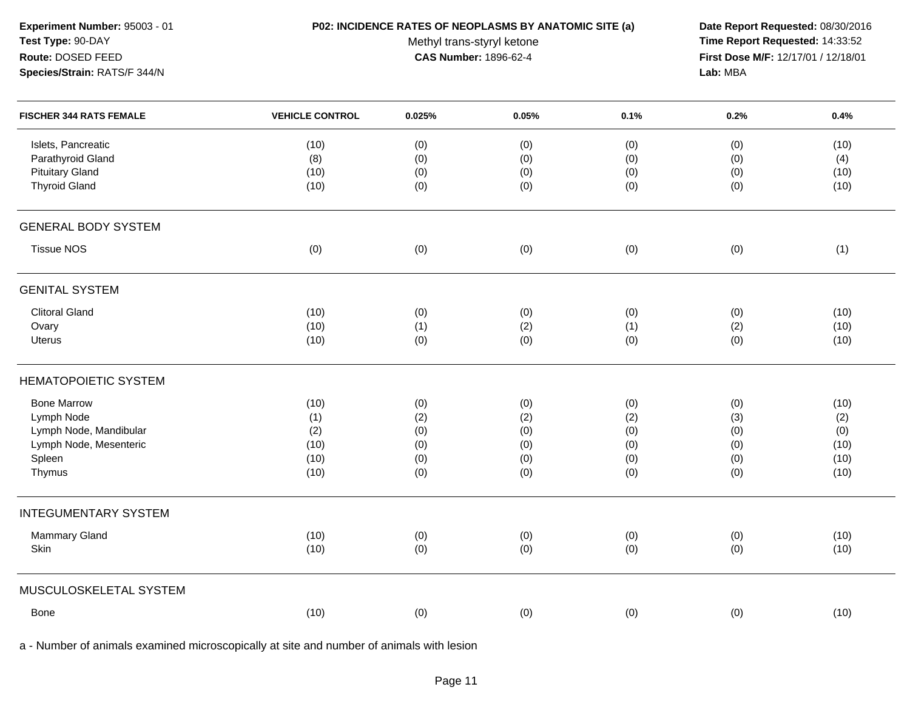### **P02: INCIDENCE RATES OF NEOPLASMS BY ANATOMIC SITE (a) Date Report Requested:** 08/30/2016

Methyl trans-styryl ketone<br>CAS Number: 1896-62-4

 **Time Report Requested:** 14:33:52 **First Dose M/F:** 12/17/01 / 12/18/01<br>Lab: MBA **Lab:** MBA

| <b>FISCHER 344 RATS FEMALE</b>                                                                           | <b>VEHICLE CONTROL</b>                     | 0.025%                                 | 0.05%                                  | 0.1%                                   | 0.2%                                   | 0.4%                                       |
|----------------------------------------------------------------------------------------------------------|--------------------------------------------|----------------------------------------|----------------------------------------|----------------------------------------|----------------------------------------|--------------------------------------------|
| Islets, Pancreatic<br>Parathyroid Gland<br><b>Pituitary Gland</b><br><b>Thyroid Gland</b>                | (10)<br>(8)<br>(10)<br>(10)                | (0)<br>(0)<br>(0)<br>(0)               | (0)<br>(0)<br>(0)<br>(0)               | (0)<br>(0)<br>(0)<br>(0)               | (0)<br>(0)<br>(0)<br>(0)               | (10)<br>(4)<br>(10)<br>(10)                |
| <b>GENERAL BODY SYSTEM</b>                                                                               |                                            |                                        |                                        |                                        |                                        |                                            |
| <b>Tissue NOS</b>                                                                                        | (0)                                        | (0)                                    | (0)                                    | (0)                                    | (0)                                    | (1)                                        |
| <b>GENITAL SYSTEM</b>                                                                                    |                                            |                                        |                                        |                                        |                                        |                                            |
| <b>Clitoral Gland</b><br>Ovary<br>Uterus                                                                 | (10)<br>(10)<br>(10)                       | (0)<br>(1)<br>(0)                      | (0)<br>(2)<br>(0)                      | (0)<br>(1)<br>(0)                      | (0)<br>(2)<br>(0)                      | (10)<br>(10)<br>(10)                       |
| <b>HEMATOPOIETIC SYSTEM</b>                                                                              |                                            |                                        |                                        |                                        |                                        |                                            |
| <b>Bone Marrow</b><br>Lymph Node<br>Lymph Node, Mandibular<br>Lymph Node, Mesenteric<br>Spleen<br>Thymus | (10)<br>(1)<br>(2)<br>(10)<br>(10)<br>(10) | (0)<br>(2)<br>(0)<br>(0)<br>(0)<br>(0) | (0)<br>(2)<br>(0)<br>(0)<br>(0)<br>(0) | (0)<br>(2)<br>(0)<br>(0)<br>(0)<br>(0) | (0)<br>(3)<br>(0)<br>(0)<br>(0)<br>(0) | (10)<br>(2)<br>(0)<br>(10)<br>(10)<br>(10) |
| <b>INTEGUMENTARY SYSTEM</b>                                                                              |                                            |                                        |                                        |                                        |                                        |                                            |
| Mammary Gland<br>Skin                                                                                    | (10)<br>(10)                               | (0)<br>(0)                             | (0)<br>(0)                             | (0)<br>(0)                             | (0)<br>(0)                             | (10)<br>(10)                               |
| MUSCULOSKELETAL SYSTEM                                                                                   |                                            |                                        |                                        |                                        |                                        |                                            |
| Bone                                                                                                     | (10)                                       | (0)                                    | (0)                                    | (0)                                    | (0)                                    | (10)                                       |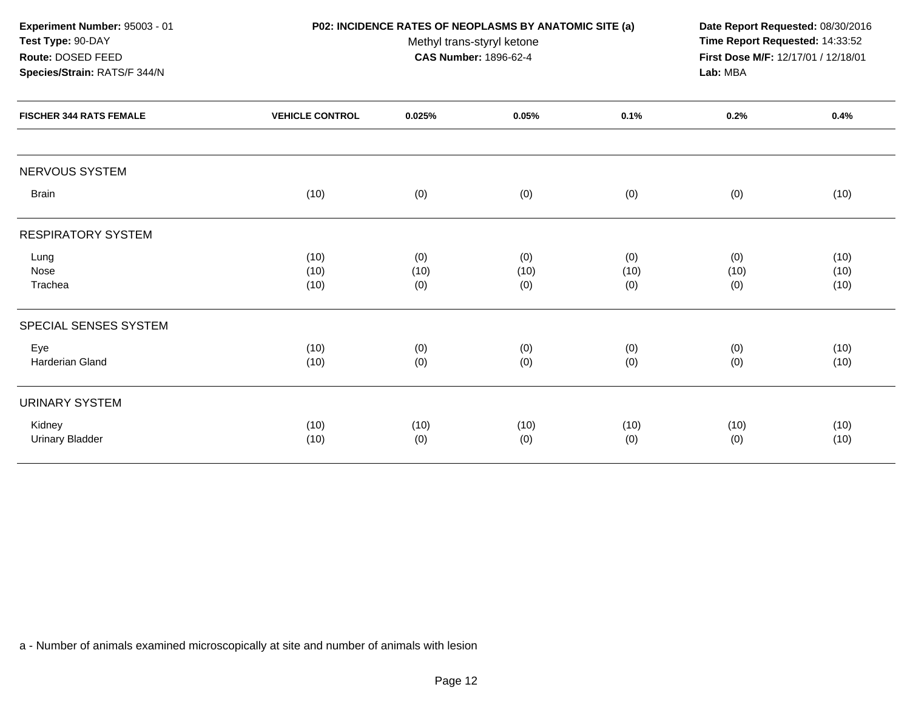| Experiment Number: 95003 - 01<br>Test Type: 90-DAY                                  |                        | P02: INCIDENCE RATES OF NEOPLASMS BY ANATOMIC SITE (a)<br>Methyl trans-styryl ketone<br><b>CAS Number: 1896-62-4</b> | Date Report Requested: 08/30/2016<br>Time Report Requested: 14:33:52 |             |             |              |
|-------------------------------------------------------------------------------------|------------------------|----------------------------------------------------------------------------------------------------------------------|----------------------------------------------------------------------|-------------|-------------|--------------|
| Route: DOSED FEED<br>Species/Strain: RATS/F 344/N<br><b>FISCHER 344 RATS FEMALE</b> |                        | First Dose M/F: 12/17/01 / 12/18/01<br>Lab: MBA                                                                      |                                                                      |             |             |              |
|                                                                                     | <b>VEHICLE CONTROL</b> | 0.025%                                                                                                               | 0.05%                                                                | 0.1%        | 0.2%        | 0.4%         |
| NERVOUS SYSTEM                                                                      |                        |                                                                                                                      |                                                                      |             |             |              |
| <b>Brain</b>                                                                        | (10)                   | (0)                                                                                                                  | (0)                                                                  | (0)         | (0)         | (10)         |
| <b>RESPIRATORY SYSTEM</b>                                                           |                        |                                                                                                                      |                                                                      |             |             |              |
| Lung<br>Nose                                                                        | (10)<br>(10)           | (0)<br>(10)                                                                                                          | (0)<br>(10)                                                          | (0)<br>(10) | (0)<br>(10) | (10)<br>(10) |
| Trachea                                                                             | (10)                   | (0)                                                                                                                  | (0)                                                                  | (0)         | (0)         | (10)         |
| SPECIAL SENSES SYSTEM                                                               |                        |                                                                                                                      |                                                                      |             |             |              |
| Eye                                                                                 | (10)                   | (0)                                                                                                                  | (0)                                                                  | (0)         | (0)         | (10)         |
| Harderian Gland                                                                     | (10)                   | (0)                                                                                                                  | (0)                                                                  | (0)         | (0)         | (10)         |
| <b>URINARY SYSTEM</b>                                                               |                        |                                                                                                                      |                                                                      |             |             |              |
| Kidney                                                                              | (10)                   | (10)                                                                                                                 | (10)                                                                 | (10)        | (10)        | (10)         |
| <b>Urinary Bladder</b>                                                              | (10)                   | (0)                                                                                                                  | (0)                                                                  | (0)         | (0)         | (10)         |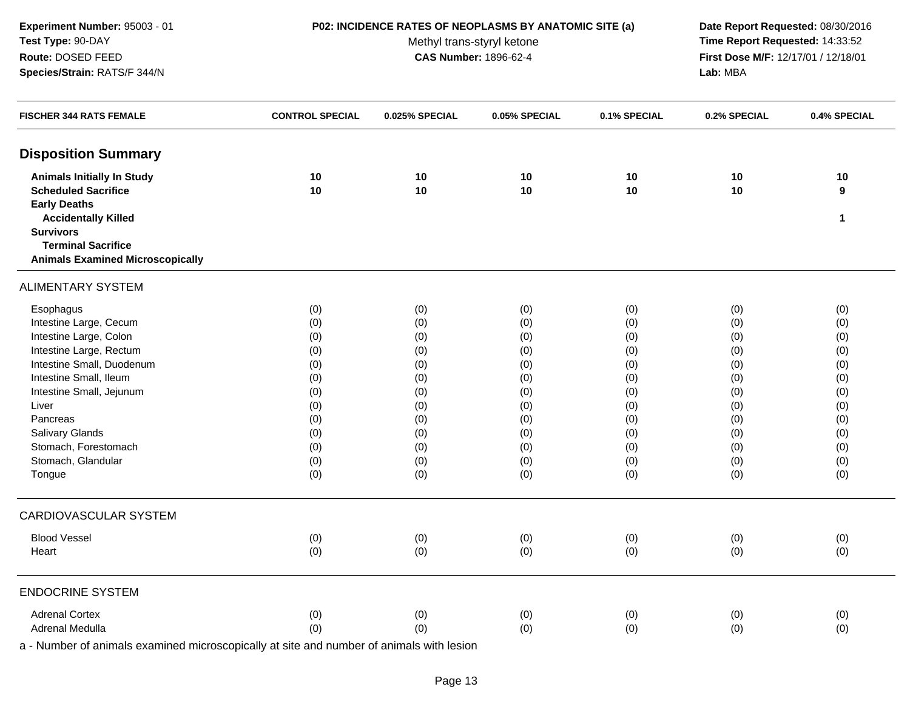### **P02: INCIDENCE RATES OF NEOPLASMS BY ANATOMIC SITE (a) Date Report Requested:** 08/30/2016

Methyl trans-styryl ketone<br>CAS Number: 1896-62-4

 **Time Report Requested:** 14:33:52 **First Dose M/F:** 12/17/01 / 12/18/01<br>Lab: MBA **Lab:** MBA

| <b>FISCHER 344 RATS FEMALE</b>                    | <b>CONTROL SPECIAL</b> | 0.025% SPECIAL | 0.05% SPECIAL | 0.1% SPECIAL | 0.2% SPECIAL | 0.4% SPECIAL     |
|---------------------------------------------------|------------------------|----------------|---------------|--------------|--------------|------------------|
| <b>Disposition Summary</b>                        |                        |                |               |              |              |                  |
| <b>Animals Initially In Study</b>                 | 10                     | 10             | 10            | 10           | 10           | 10               |
| <b>Scheduled Sacrifice</b>                        | 10                     | 10             | 10            | 10           | 10           | $\boldsymbol{9}$ |
| <b>Early Deaths</b><br><b>Accidentally Killed</b> |                        |                |               |              |              | $\mathbf{1}$     |
| <b>Survivors</b>                                  |                        |                |               |              |              |                  |
| <b>Terminal Sacrifice</b>                         |                        |                |               |              |              |                  |
| <b>Animals Examined Microscopically</b>           |                        |                |               |              |              |                  |
| <b>ALIMENTARY SYSTEM</b>                          |                        |                |               |              |              |                  |
| Esophagus                                         | (0)                    | (0)            | (0)           | (0)          | (0)          | (0)              |
| Intestine Large, Cecum                            | (0)                    | (0)            | (0)           | (0)          | (0)          | (0)              |
| Intestine Large, Colon                            | (0)                    | (0)            | (0)           | (0)          | (0)          | (0)              |
| Intestine Large, Rectum                           | (0)                    | (0)            | (0)           | (0)          | (0)          | (0)              |
| Intestine Small, Duodenum                         | (0)                    | (0)            | (0)           | (0)          | (0)          | (0)              |
| Intestine Small, Ileum                            | (0)                    | (0)            | (0)           | (0)          | (0)          | (0)              |
| Intestine Small, Jejunum                          | (0)                    | (0)            | (0)           | (0)          | (0)          | (0)              |
| Liver                                             | (0)                    | (0)            | (0)           | (0)          | (0)          | (0)              |
| Pancreas                                          | (0)                    | (0)            | (0)           | (0)          | (0)          | (0)              |
| Salivary Glands                                   | (0)                    | (0)            | (0)           | (0)          | (0)          | (0)              |
| Stomach, Forestomach                              | (0)                    | (0)            | (0)           | (0)          | (0)          | (0)              |
| Stomach, Glandular                                | (0)                    | (0)            | (0)           | (0)          | (0)          | (0)              |
| Tongue                                            | (0)                    | (0)            | (0)           | (0)          | (0)          | (0)              |
| CARDIOVASCULAR SYSTEM                             |                        |                |               |              |              |                  |
| <b>Blood Vessel</b>                               | (0)                    | (0)            | (0)           | (0)          | (0)          | (0)              |
| Heart                                             | (0)                    | (0)            | (0)           | (0)          | (0)          | (0)              |
| <b>ENDOCRINE SYSTEM</b>                           |                        |                |               |              |              |                  |
| <b>Adrenal Cortex</b>                             | (0)                    | (0)            | (0)           | (0)          | (0)          | (0)              |
| Adrenal Medulla                                   | (0)                    | (0)            | (0)           | (0)          | (0)          | (0)              |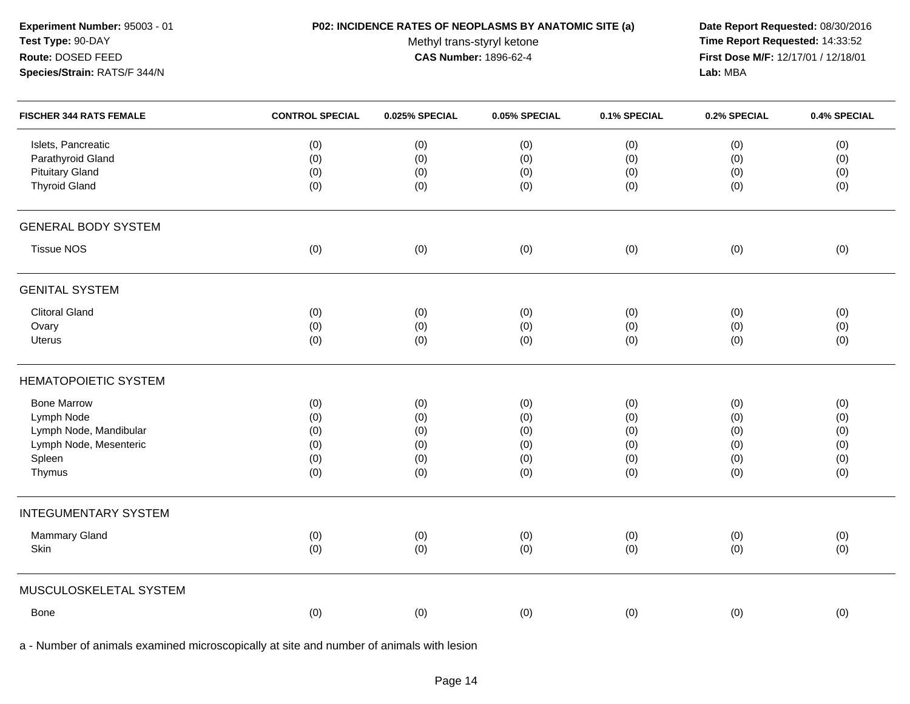### **P02: INCIDENCE RATES OF NEOPLASMS BY ANATOMIC SITE (a) Date Report Requested:** 08/30/2016

Methyl trans-styryl ketone<br>CAS Number: 1896-62-4

 **Time Report Requested:** 14:33:52 **First Dose M/F:** 12/17/01 / 12/18/01<br>Lab: MBA **Lab:** MBA

| <b>FISCHER 344 RATS FEMALE</b>                                    | <b>CONTROL SPECIAL</b> | 0.025% SPECIAL    | 0.05% SPECIAL     | 0.1% SPECIAL      | 0.2% SPECIAL      | 0.4% SPECIAL      |
|-------------------------------------------------------------------|------------------------|-------------------|-------------------|-------------------|-------------------|-------------------|
| Islets, Pancreatic<br>Parathyroid Gland<br><b>Pituitary Gland</b> | (0)<br>(0)<br>(0)      | (0)<br>(0)<br>(0) | (0)<br>(0)<br>(0) | (0)<br>(0)<br>(0) | (0)<br>(0)<br>(0) | (0)<br>(0)<br>(0) |
| <b>Thyroid Gland</b>                                              | (0)                    | (0)               | (0)               | (0)               | (0)               | (0)               |
| <b>GENERAL BODY SYSTEM</b>                                        |                        |                   |                   |                   |                   |                   |
| <b>Tissue NOS</b>                                                 | (0)                    | (0)               | (0)               | (0)               | (0)               | (0)               |
| <b>GENITAL SYSTEM</b>                                             |                        |                   |                   |                   |                   |                   |
| <b>Clitoral Gland</b>                                             | (0)                    | (0)               | (0)               | (0)               | (0)               | (0)               |
| Ovary                                                             | (0)                    | (0)               | (0)               | (0)               | (0)               | (0)               |
| Uterus                                                            | (0)                    | (0)               | (0)               | (0)               | (0)               | (0)               |
| <b>HEMATOPOIETIC SYSTEM</b>                                       |                        |                   |                   |                   |                   |                   |
| <b>Bone Marrow</b>                                                | (0)                    | (0)               | (0)               | (0)               | (0)               | (0)               |
| Lymph Node                                                        | (0)                    | (0)               | (0)               | (0)               | (0)               | (0)               |
| Lymph Node, Mandibular                                            | (0)                    | (0)               | (0)               | (0)               | (0)               | (0)               |
| Lymph Node, Mesenteric                                            | (0)                    | (0)               | (0)               | (0)               | (0)               | (0)               |
| Spleen                                                            | (0)                    | (0)               | (0)               | (0)               | (0)               | (0)               |
| Thymus                                                            | (0)                    | (0)               | (0)               | (0)               | (0)               | (0)               |
| <b>INTEGUMENTARY SYSTEM</b>                                       |                        |                   |                   |                   |                   |                   |
| Mammary Gland                                                     | (0)                    | (0)               | (0)               | (0)               | (0)               | (0)               |
| Skin                                                              | (0)                    | (0)               | (0)               | (0)               | (0)               | (0)               |
| MUSCULOSKELETAL SYSTEM                                            |                        |                   |                   |                   |                   |                   |
| Bone                                                              | (0)                    | (0)               | (0)               | (0)               | (0)               | (0)               |
|                                                                   |                        |                   |                   |                   |                   |                   |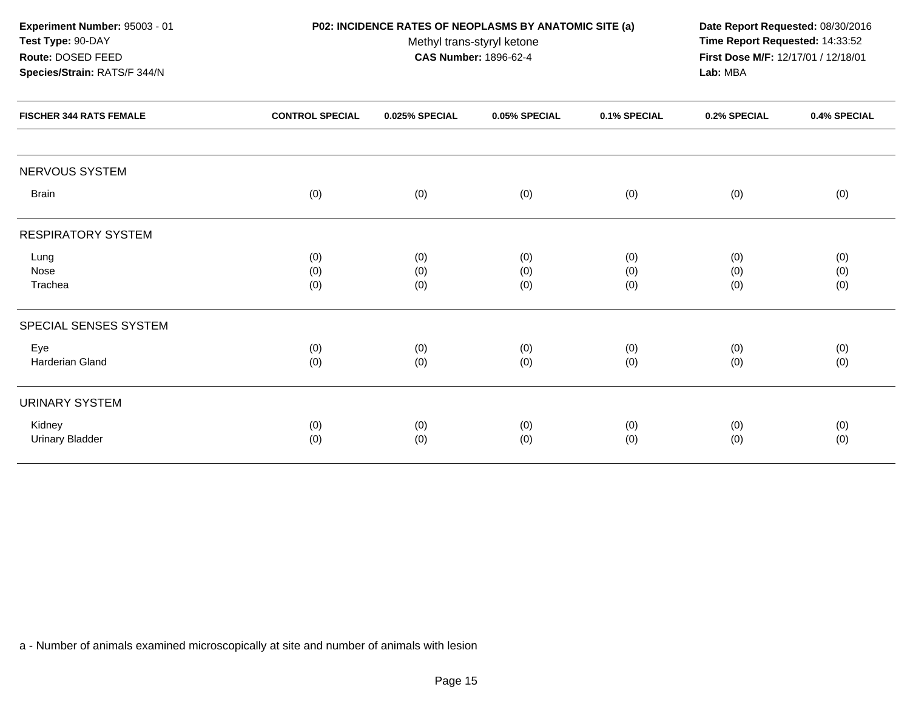| Experiment Number: 95003 - 01                                  | P02: INCIDENCE RATES OF NEOPLASMS BY ANATOMIC SITE (a) | Date Report Requested: 08/30/2016                          |               |              |              |              |
|----------------------------------------------------------------|--------------------------------------------------------|------------------------------------------------------------|---------------|--------------|--------------|--------------|
| Test Type: 90-DAY                                              |                                                        | Time Report Requested: 14:33:52                            |               |              |              |              |
| Route: DOSED FEED                                              |                                                        | Methyl trans-styryl ketone<br><b>CAS Number: 1896-62-4</b> |               |              |              |              |
| Species/Strain: RATS/F 344/N<br><b>FISCHER 344 RATS FEMALE</b> |                                                        | Lab: MBA                                                   |               |              |              |              |
|                                                                | <b>CONTROL SPECIAL</b>                                 | 0.025% SPECIAL                                             | 0.05% SPECIAL | 0.1% SPECIAL | 0.2% SPECIAL | 0.4% SPECIAL |
| NERVOUS SYSTEM                                                 |                                                        |                                                            |               |              |              |              |
| <b>Brain</b>                                                   | (0)                                                    | (0)                                                        | (0)           | (0)          | (0)          | (0)          |
| <b>RESPIRATORY SYSTEM</b>                                      |                                                        |                                                            |               |              |              |              |
| Lung                                                           | (0)                                                    | (0)                                                        | (0)           | (0)          | (0)          | (0)          |
| Nose                                                           | (0)                                                    | (0)                                                        | (0)           | (0)          | (0)          | (0)          |
| Trachea                                                        | (0)                                                    | (0)                                                        | (0)           | (0)          | (0)          | (0)          |
| SPECIAL SENSES SYSTEM                                          |                                                        |                                                            |               |              |              |              |
| Eye                                                            | (0)                                                    | (0)                                                        | (0)           | (0)          | (0)          | (0)          |
| Harderian Gland                                                | (0)                                                    | (0)                                                        | (0)           | (0)          | (0)          | (0)          |
| <b>URINARY SYSTEM</b>                                          |                                                        |                                                            |               |              |              |              |
| Kidney                                                         | (0)                                                    | (0)                                                        | (0)           | (0)          | (0)          | (0)          |
| <b>Urinary Bladder</b>                                         | (0)                                                    | (0)                                                        | (0)           | (0)          | (0)          | (0)          |
|                                                                |                                                        |                                                            |               |              |              |              |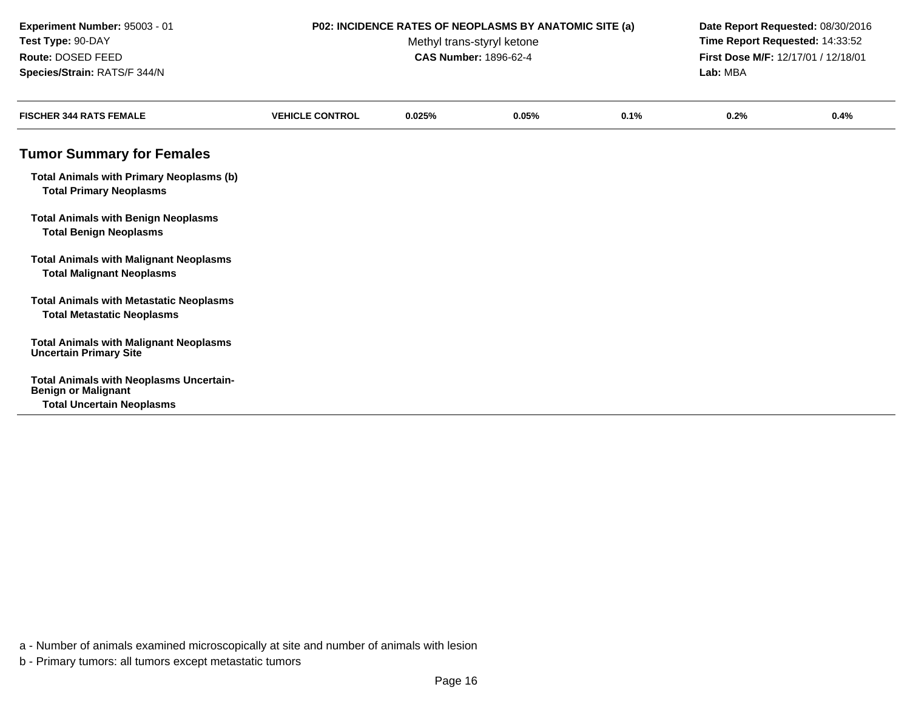### **P02: INCIDENCE RATES OF NEOPLASMS BY ANATOMIC SITE (a) Date Report Requested:** 08/30/2016

Methyl trans-styryl ketone<br>CAS Number: 1896-62-4

 **Time Report Requested:** 14:33:52 **First Dose M/F:** 12/17/01 / 12/18/01<br>Lab: MBA **Lab:** MBA

| <b>FISCHER 344 RATS FEMALE</b>                                                      | <b>VEHICLE CONTROL</b> | 0.025% | 0.05% | 0.1% | 0.2% | 0.4% |
|-------------------------------------------------------------------------------------|------------------------|--------|-------|------|------|------|
| <b>Tumor Summary for Females</b>                                                    |                        |        |       |      |      |      |
| <b>Total Animals with Primary Neoplasms (b)</b><br><b>Total Primary Neoplasms</b>   |                        |        |       |      |      |      |
| <b>Total Animals with Benign Neoplasms</b><br><b>Total Benign Neoplasms</b>         |                        |        |       |      |      |      |
| <b>Total Animals with Malignant Neoplasms</b><br><b>Total Malignant Neoplasms</b>   |                        |        |       |      |      |      |
| <b>Total Animals with Metastatic Neoplasms</b><br><b>Total Metastatic Neoplasms</b> |                        |        |       |      |      |      |
| <b>Total Animals with Malignant Neoplasms</b><br><b>Uncertain Primary Site</b>      |                        |        |       |      |      |      |
| <b>Total Animals with Neoplasms Uncertain-</b><br><b>Benign or Malignant</b>        |                        |        |       |      |      |      |
| <b>Total Uncertain Neoplasms</b>                                                    |                        |        |       |      |      |      |

a - Number of animals examined microscopically at site and number of animals with lesion